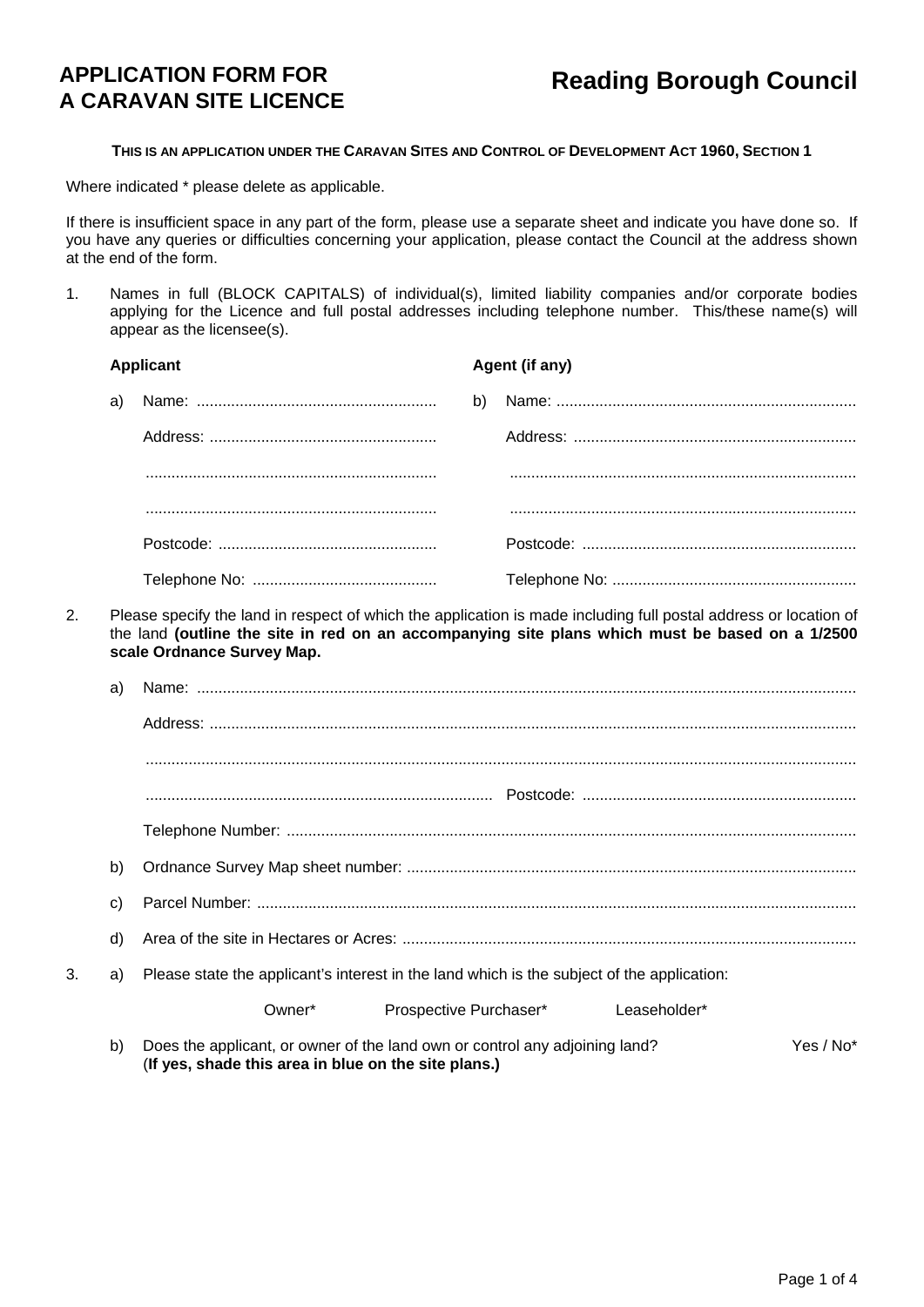# **APPLICATION FORM FOR A CARAVAN SITE LICENCE**

## **THIS IS AN APPLICATION UNDER THE CARAVAN SITES AND CONTROL OF DEVELOPMENT ACT 1960, SECTION 1**

Where indicated \* please delete as applicable.

If there is insufficient space in any part of the form, please use a separate sheet and indicate you have done so. If you have any queries or difficulties concerning your application, please contact the Council at the address shown at the end of the form.

1. Names in full (BLOCK CAPITALS) of individual(s), limited liability companies and/or corporate bodies applying for the Licence and full postal addresses including telephone number. This/these name(s) will appear as the licensee(s).

|    |              | <b>Applicant</b>                                                                                                                    |    | Agent (if any)                                                                                                                                                                                                      |  |  |  |
|----|--------------|-------------------------------------------------------------------------------------------------------------------------------------|----|---------------------------------------------------------------------------------------------------------------------------------------------------------------------------------------------------------------------|--|--|--|
|    | a)           |                                                                                                                                     | b) |                                                                                                                                                                                                                     |  |  |  |
|    |              |                                                                                                                                     |    |                                                                                                                                                                                                                     |  |  |  |
|    |              |                                                                                                                                     |    |                                                                                                                                                                                                                     |  |  |  |
|    |              |                                                                                                                                     |    |                                                                                                                                                                                                                     |  |  |  |
|    |              |                                                                                                                                     |    |                                                                                                                                                                                                                     |  |  |  |
|    |              |                                                                                                                                     |    |                                                                                                                                                                                                                     |  |  |  |
| 2. |              | scale Ordnance Survey Map.                                                                                                          |    | Please specify the land in respect of which the application is made including full postal address or location of<br>the land (outline the site in red on an accompanying site plans which must be based on a 1/2500 |  |  |  |
|    | a)           |                                                                                                                                     |    |                                                                                                                                                                                                                     |  |  |  |
|    |              |                                                                                                                                     |    |                                                                                                                                                                                                                     |  |  |  |
|    |              |                                                                                                                                     |    |                                                                                                                                                                                                                     |  |  |  |
|    |              |                                                                                                                                     |    |                                                                                                                                                                                                                     |  |  |  |
|    |              |                                                                                                                                     |    |                                                                                                                                                                                                                     |  |  |  |
|    | b)           |                                                                                                                                     |    |                                                                                                                                                                                                                     |  |  |  |
|    | $\mathsf{c}$ |                                                                                                                                     |    |                                                                                                                                                                                                                     |  |  |  |
|    | d)           |                                                                                                                                     |    |                                                                                                                                                                                                                     |  |  |  |
| 3. | a)           | Please state the applicant's interest in the land which is the subject of the application:                                          |    |                                                                                                                                                                                                                     |  |  |  |
|    |              | Owner*<br>Prospective Purchaser*                                                                                                    |    | Leaseholder*                                                                                                                                                                                                        |  |  |  |
|    | b)           | Does the applicant, or owner of the land own or control any adjoining land?<br>(If yes, shade this area in blue on the site plans.) |    | Yes / No*                                                                                                                                                                                                           |  |  |  |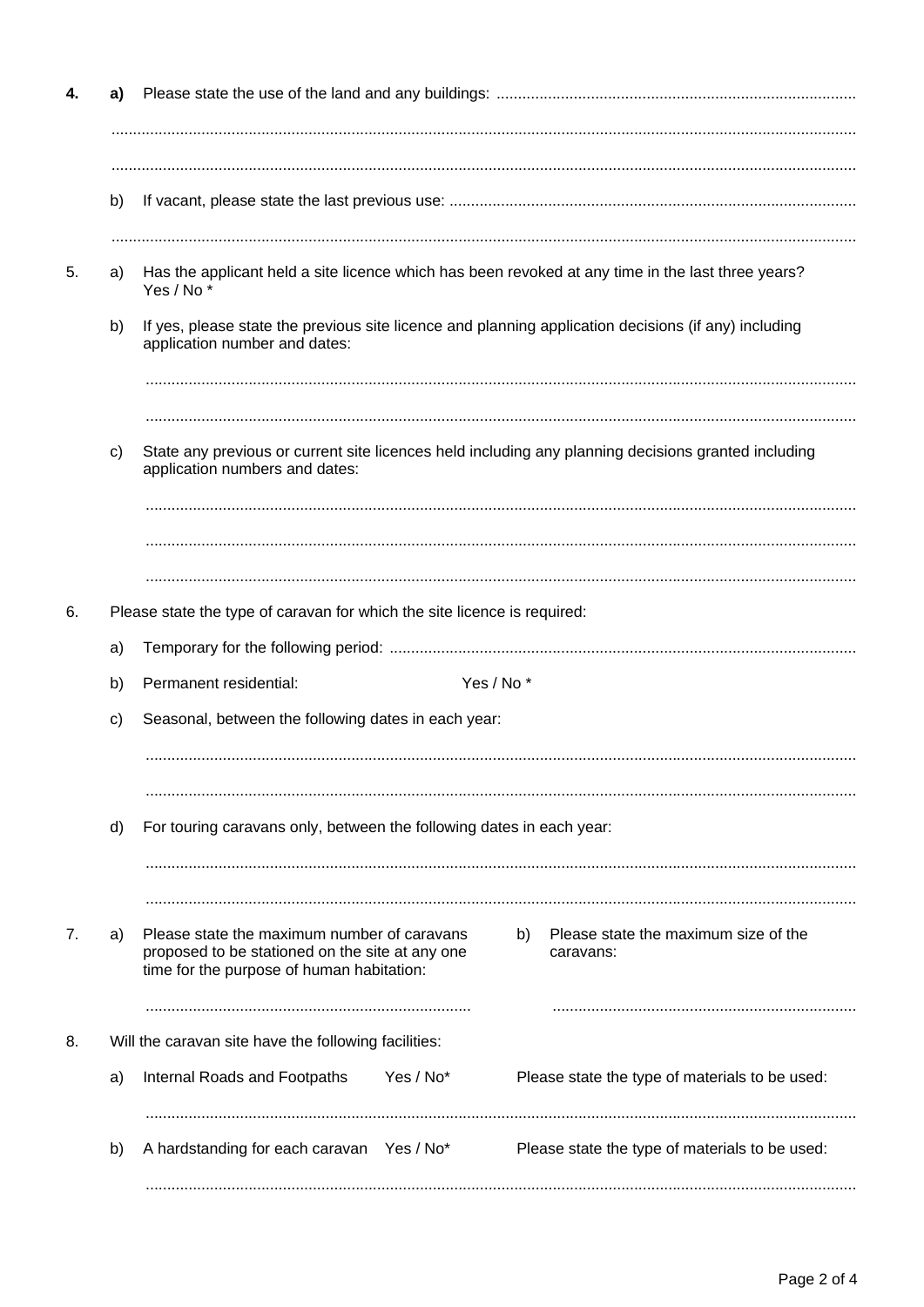|    | a) |                                                                                                                                                                                                        |  |  |
|----|----|--------------------------------------------------------------------------------------------------------------------------------------------------------------------------------------------------------|--|--|
|    |    |                                                                                                                                                                                                        |  |  |
|    | b) |                                                                                                                                                                                                        |  |  |
|    |    |                                                                                                                                                                                                        |  |  |
| 5. | a) | Has the applicant held a site licence which has been revoked at any time in the last three years?<br>Yes / No*                                                                                         |  |  |
|    | b) | If yes, please state the previous site licence and planning application decisions (if any) including<br>application number and dates:                                                                  |  |  |
|    |    |                                                                                                                                                                                                        |  |  |
|    | C) | State any previous or current site licences held including any planning decisions granted including<br>application numbers and dates:                                                                  |  |  |
|    |    |                                                                                                                                                                                                        |  |  |
|    |    |                                                                                                                                                                                                        |  |  |
|    |    |                                                                                                                                                                                                        |  |  |
| 6. |    | Please state the type of caravan for which the site licence is required:                                                                                                                               |  |  |
|    | a) |                                                                                                                                                                                                        |  |  |
|    | b) | Yes / No*<br>Permanent residential:                                                                                                                                                                    |  |  |
|    | c) | Seasonal, between the following dates in each year:                                                                                                                                                    |  |  |
|    |    |                                                                                                                                                                                                        |  |  |
|    | d) | For touring caravans only, between the following dates in each year:                                                                                                                                   |  |  |
|    |    |                                                                                                                                                                                                        |  |  |
| 7. | a) | Please state the maximum number of caravans<br>Please state the maximum size of the<br>b)<br>proposed to be stationed on the site at any one<br>caravans:<br>time for the purpose of human habitation: |  |  |
| 8. |    | Will the caravan site have the following facilities:                                                                                                                                                   |  |  |
|    | a) | Yes / No*<br>Internal Roads and Footpaths<br>Please state the type of materials to be used:                                                                                                            |  |  |
|    | b) | A hardstanding for each caravan Yes / No*<br>Please state the type of materials to be used:                                                                                                            |  |  |
|    |    |                                                                                                                                                                                                        |  |  |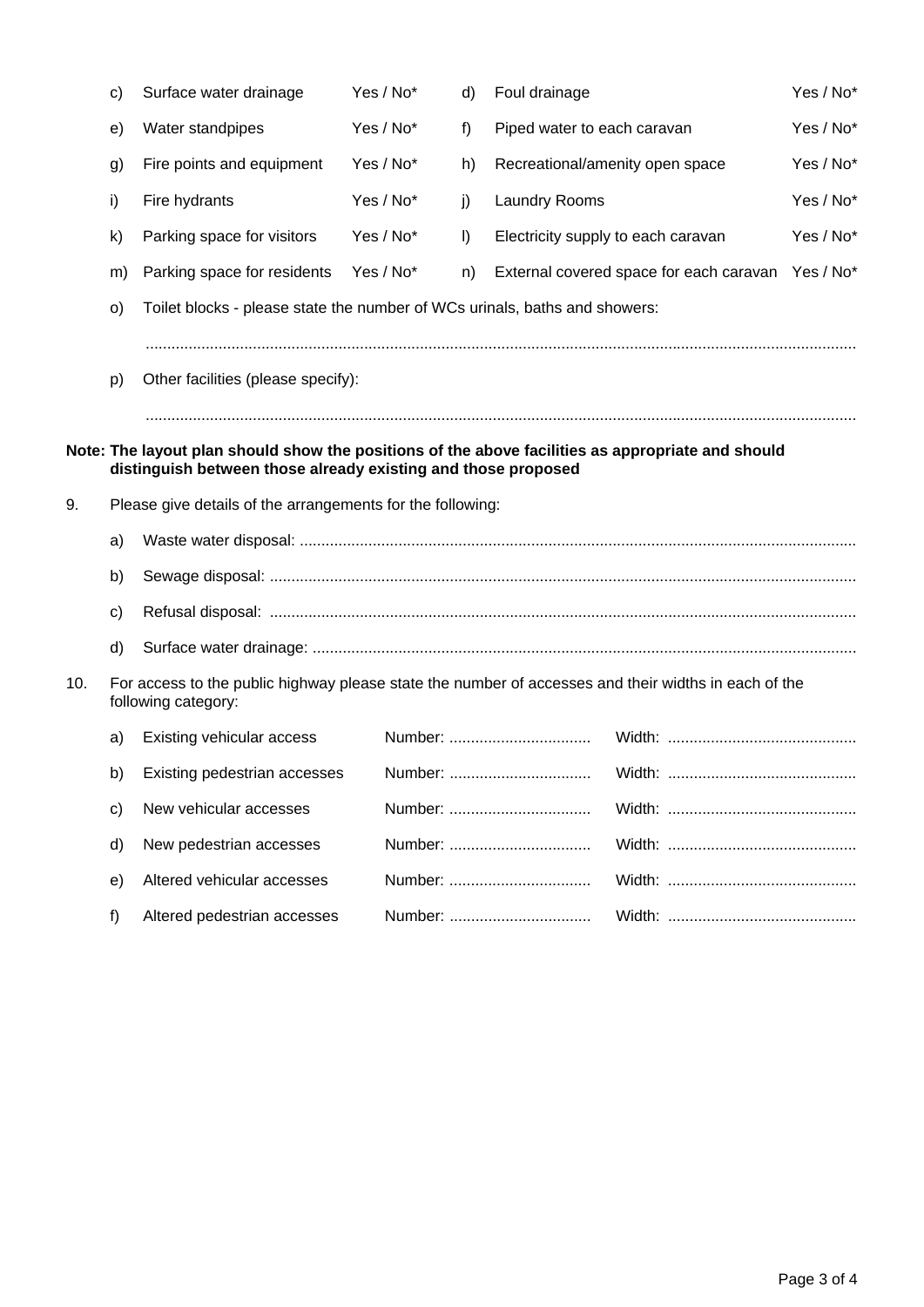|     | c)           | Surface water drainage                                                                                                                                             | Yes / No* | d)      | Foul drainage               |                                         | Yes / No* |
|-----|--------------|--------------------------------------------------------------------------------------------------------------------------------------------------------------------|-----------|---------|-----------------------------|-----------------------------------------|-----------|
|     | e)           | Water standpipes                                                                                                                                                   | Yes / No* | f)      | Piped water to each caravan |                                         | Yes / No* |
|     | g)           | Fire points and equipment                                                                                                                                          | Yes / No* | h)      |                             | Recreational/amenity open space         | Yes / No* |
|     | i)           | Fire hydrants                                                                                                                                                      | Yes / No* | j)      | <b>Laundry Rooms</b>        |                                         | Yes / No* |
|     | $\mathsf{k}$ | Parking space for visitors                                                                                                                                         | Yes / No* | $\vert$ |                             | Electricity supply to each caravan      | Yes / No* |
|     | m)           | Parking space for residents                                                                                                                                        | Yes / No* | n)      |                             | External covered space for each caravan | Yes / No* |
|     | O)           | Toilet blocks - please state the number of WCs urinals, baths and showers:                                                                                         |           |         |                             |                                         |           |
|     |              |                                                                                                                                                                    |           |         |                             |                                         |           |
|     | p)           | Other facilities (please specify):                                                                                                                                 |           |         |                             |                                         |           |
|     |              |                                                                                                                                                                    |           |         |                             |                                         |           |
|     |              | Note: The layout plan should show the positions of the above facilities as appropriate and should<br>distinguish between those already existing and those proposed |           |         |                             |                                         |           |
| 9.  |              | Please give details of the arrangements for the following:                                                                                                         |           |         |                             |                                         |           |
|     | a)           |                                                                                                                                                                    |           |         |                             |                                         |           |
|     | b)           |                                                                                                                                                                    |           |         |                             |                                         |           |
|     | c)           |                                                                                                                                                                    |           |         |                             |                                         |           |
|     | d)           |                                                                                                                                                                    |           |         |                             |                                         |           |
| 10. |              | For access to the public highway please state the number of accesses and their widths in each of the<br>following category:                                        |           |         |                             |                                         |           |
|     | a)           | Existing vehicular access                                                                                                                                          |           |         | Number:                     |                                         |           |
|     | b)           | Existing pedestrian accesses                                                                                                                                       |           |         |                             |                                         |           |
|     | $\mathbf{c}$ | New vehicular accesses                                                                                                                                             |           |         | Number:                     |                                         |           |
|     | d)           | New pedestrian accesses                                                                                                                                            |           |         | Number:                     |                                         |           |
|     | e)           | Altered vehicular accesses                                                                                                                                         |           |         | Number:                     |                                         |           |
|     | f)           | Altered pedestrian accesses                                                                                                                                        |           |         | Number:                     |                                         |           |